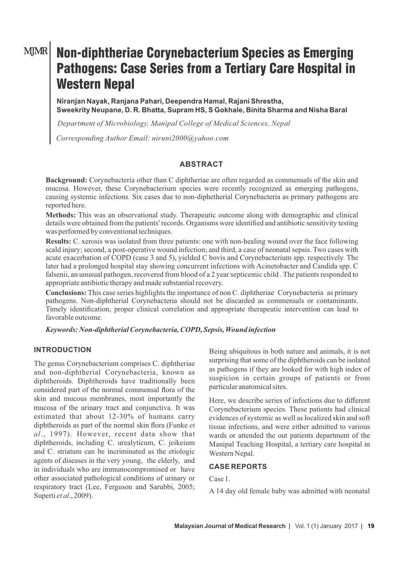# MJMR

# Non-diphtheriae Corynebacterium Species as Emerging Pathogens: Case Series from a Tertiary Care Hospital in Western Nepal

**Niranjan Nayak, Ranjana Pahari, Deependra Hamal, Rajani Shrestha, Sweekrity Neupane, D. R. Bhatta, Supram HS, S Gokhale, Binita Sharma and Nisha Baral** 

*Department of Microbiology, Manipal College of Medical Sciences, Nepal*

*Corresponding Author Email: niruni2000@yahoo.com*

# **ABSTRACT**

**Background:** Corynebacteria other than C diphtheriae are often regarded as commensals of the skin and mucosa. However, these Corynebacterium species were recently recognized as emerging pathogens, causing systemic infections. Six cases due to non-diphetherial Corynebacteria as primary pathogens are reported here.

**Methods:** This was an observational study. Therapeutic outcome along with demographic and clinical details were obtained from the patients' records. Organisms were identified and antibiotic sensitivity testing was performed by conventional techniques.

**Results:** C. xerosis was isolated from three patients: one with non-healing wound over the face following scald injury; second, a post-operative wound infection; and third, a case of neonatal sepsis. Two cases with acute exacerbation of COPD (case 3 and 5), yielded C bovis and Corynebacterium spp. respectively. The later had a prolonged hospital stay showing concurrent infections with Acinetobacter and Candida spp. C falsenii, an unusual pathogen, recovered from blood of a 2 year septicemic child . The patients responded to appropriate antibiotic therapy and made substantial recovery.

**Conclusions:** This case series highlights the importance of non C. diphtheriae Corynebacteria as primary pathogens. Non-diphtherial Corynebacteria should not be discarded as commensals or contaminants. Timely identification, proper clinical correlation and appropriate therapeutic intervention can lead to favorable outcome.

*Keywords: Non-diphtherial Corynebacteria, COPD, Sepsis, Wound infection*

#### **INTRODUCTION**

The genus Corynebacterium comprises C. diphtheriae and non-diphtherial Corynebacteria, known as diphtheroids. Diphtheroids have traditionally been considered part of the normal commensal flora of the skin and mucous membranes, most importantly the mucosa of the urinary tract and conjunctiva. It was estimated that about 12-30% of humans carry diphtheroids as part of the normal skin flora (Funke *et al*., 1997). However, recent data show that diphtheroids, including C. urealyticum, C. jeikeium and C. striatum can be incriminated as the etiologic agents of diseases in the very young, the elderly, and in individuals who are immunocompromised or have other associated pathological conditions of urinary or respiratory tract (Lee, Ferguson and Sarubbi, 2005; Superti *et al*., 2009).

Being ubiquitous in both nature and animals, it is not surprising that some of the diphtheroids can be isolated as pathogens if they are looked for with high index of suspicion in certain groups of patients or from particular anatomical sites.

Here, we describe series of infections due to different Corynebacterium species. These patients had clinical evidences of systemic as well as localized skin and soft tissue infections, and were either admitted to various wards or attended the out patients department of the Manipal Teaching Hospital, a tertiary care hospital in Western Nepal.

#### **CASE REPORTS**

Case 1.

A 14 day old female baby was admitted with neonatal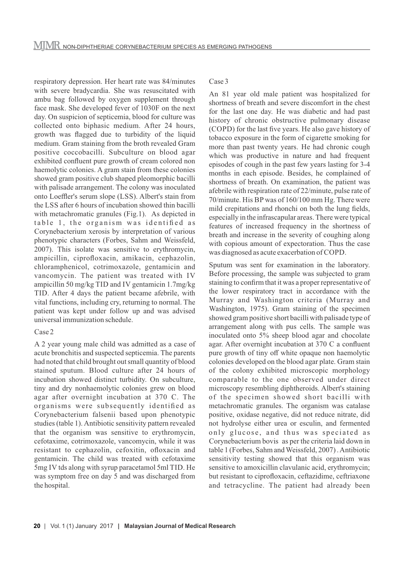respiratory depression. Her heart rate was 84/minutes with severe bradycardia. She was resuscitated with ambu bag followed by oxygen supplement through face mask. She developed fever of 1030F on the next day. On suspicion of septicemia, blood for culture was collected onto biphasic medium. After 24 hours, growth was flagged due to turbidity of the liquid medium. Gram staining from the broth revealed Gram positive coccobacilli. Subculture on blood agar exhibited confluent pure growth of cream colored non haemolytic colonies. A gram stain from these colonies showed gram positive club shaped pleomorphic bacilli with palisade arrangement. The colony was inoculated onto Loeffler's serum slope (LSS). Albert's stain from the LSS after 6 hours of incubation showed thin bacilli with metachromatic granules (Fig.1). As depicted in table 1, the organism was identified as Corynebacterium xerosis by interpretation of various phenotypic characters (Forbes, Sahm and Weissfeld, 2007). This isolate was sensitive to erythromycin, ampicillin, ciprofloxacin, amikacin, cephazolin, chloramphenicol, cotrimoxazole, gentamicin and vancomycin. The patient was treated with IV ampicillin 50 mg/kg TID and IV gentamicin 1.7mg/kg TID. After 4 days the patient became afebrile, with vital functions, including cry, returning to normal. The patient was kept under follow up and was advised universal immunization schedule.

#### Case 2

A 2 year young male child was admitted as a case of acute bronchitis and suspected septicemia. The parents had noted that child brought out small quantity of blood stained sputum. Blood culture after 24 hours of incubation showed distinct turbidity. On subculture, tiny and dry nonhaemolytic colonies grew on blood agar after overnight incubation at 370 C. The organisms were subsequently identified as Corynebacterium falsenii based upon phenotypic studies (table 1). Antibiotic sensitivity pattern revealed that the organism was sensitive to erythromycin, cefotaxime, cotrimoxazole, vancomycin, while it was resistant to cephazolin, cefoxitin, ofloxacin and gentamicin. The child was treated with cefotaxime 5mg IV tds along with syrup paracetamol 5ml TID. He was symptom free on day 5 and was discharged from the hospital.

## Case 3

An 81 year old male patient was hospitalized for shortness of breath and severe discomfort in the chest for the last one day. He was diabetic and had past history of chronic obstructive pulmonary disease (COPD) for the last five years. He also gave history of tobacco exposure in the form of cigarette smoking for more than past twenty years. He had chronic cough which was productive in nature and had frequent episodes of cough in the past few years lasting for 3-4 months in each episode. Besides, he complained of shortness of breath. On examination, the patient was afebrile with respiration rate of 22/minute, pulse rate of 70/minute. His BP was of 160/100 mm Hg. There were mild crepitations and rhonchi on both the lung fields, especially in the infrascapular areas. There were typical features of increased frequency in the shortness of breath and increase in the severity of coughing along with copious amount of expectoration. Thus the case was diagnosed as acute exacerbation of COPD.

Sputum was sent for examination in the laboratory. Before processing, the sample was subjected to gram staining to confirm that it was a proper representative of the lower respiratory tract in accordance with the Murray and Washington criteria (Murray and Washington, 1975). Gram staining of the specimen showed gram positive short bacilli with palisade type of arrangement along with pus cells. The sample was inoculated onto 5% sheep blood agar and chocolate agar. After overnight incubation at 370 C a confluent pure growth of tiny off white opaque non haemolytic colonies developed on the blood agar plate. Gram stain of the colony exhibited microscopic morphology comparable to the one observed under direct microscopy resembling diphtheroids. Albert's staining of the specimen showed short bacilli with metachromatic granules. The organism was catalase positive, oxidase negative, did not reduce nitrate, did not hydrolyse either urea or esculin, and fermented only glucose, and thus was speciated as Corynebacterium bovis as per the criteria laid down in table 1 (Forbes, Sahm and Weissfeld, 2007) . Antibiotic sensitivity testing showed that this organism was sensitive to amoxicillin clavulanic acid, erythromycin; but resistant to ciprofloxacin, ceftazidime, ceftriaxone and tetracycline. The patient had already been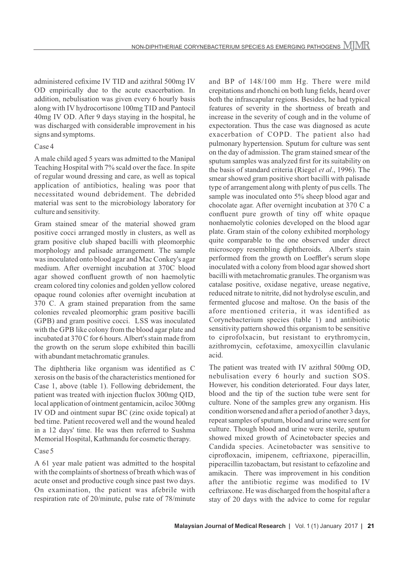administered cefixime IV TID and azithral 500mg IV OD empirically due to the acute exacerbation. In addition, nebulisation was given every 6 hourly basis along with IV hydrocortisone 100mg TID and Pantocil 40mg IV OD. After 9 days staying in the hospital, he was discharged with considerable improvement in his signs and symptoms.

#### Case 4

A male child aged 5 years was admitted to the Manipal Teaching Hospital with 7% scald over the face. In spite of regular wound dressing and care, as well as topical application of antibiotics, healing was poor that necessitated wound debridement. The debrided material was sent to the microbiology laboratory for culture and sensitivity.

Gram stained smear of the material showed gram positive cocci arranged mostly in clusters, as well as gram positive club shaped bacilli with pleomorphic morphology and palisade arrangement. The sample was inoculated onto blood agar and Mac Conkey's agar medium. After overnight incubation at 370C blood agar showed confluent growth of non haemolytic cream colored tiny colonies and golden yellow colored opaque round colonies after overnight incubation at 370 C. A gram stained preparation from the same colonies revealed pleomorphic gram positive bacilli (GPB) and gram positive cocci. LSS was inoculated with the GPB like colony from the blood agar plate and incubated at 370 C for 6 hours. Albert's stain made from the growth on the serum slope exhibited thin bacilli with abundant metachromatic granules.

The diphtheria like organism was identified as C xerosis on the basis of the characteristics mentioned for Case 1, above (table 1). Following debridement, the patient was treated with injection fluclox 300mg QID, local application of ointment gentamicin, aciloc 300mg IV OD and ointment supar BC (zinc oxide topical) at bed time. Patient recovered well and the wound healed in a 12 days' time. He was then referred to Sushma Memorial Hospital, Kathmandu for cosmetic therapy.

#### Case 5

A 61 year male patient was admitted to the hospital with the complaints of shortness of breath which was of acute onset and productive cough since past two days. On examination, the patient was afebrile with respiration rate of 20/minute, pulse rate of 78/minute

and BP of 148/100 mm Hg. There were mild crepitations and rhonchi on both lung fields, heard over both the infrascapular regions. Besides, he had typical features of severity in the shortness of breath and increase in the severity of cough and in the volume of expectoration. Thus the case was diagnosed as acute exacerbation of COPD. The patient also had pulmonary hypertension. Sputum for culture was sent on the day of admission. The gram stained smear of the sputum samples was analyzed first for its suitability on the basis of standard criteria (Riegel *et al*., 1996). The smear showed gram positive short bacilli with palisade type of arrangement along with plenty of pus cells. The sample was inoculated onto 5% sheep blood agar and chocolate agar. After overnight incubation at 370 C a confluent pure growth of tiny off white opaque nonhaemolytic colonies developed on the blood agar plate. Gram stain of the colony exhibited morphology quite comparable to the one observed under direct microscopy resembling diphtheroids. Albert's stain performed from the growth on Loeffler's serum slope inoculated with a colony from blood agar showed short bacilli with metachromatic granules. The organism was catalase positive, oxidase negative, urease negative, reduced nitrate to nitrite, did not hydrolyse esculin, and fermented glucose and maltose. On the basis of the afore mentioned criteria, it was identified as Corynebacterium species (table 1) and antibiotic sensitivity pattern showed this organism to be sensitive to ciprofolxacin, but resistant to erythromycin, azithromycin, cefotaxime, amoxycillin clavulanic acid.

The patient was treated with IV azithral 500mg OD, nebulisation every 6 hourly and suction SOS. However, his condition deteriorated. Four days later, blood and the tip of the suction tube were sent for culture. None of the samples grew any organism. His condition worsened and after a period of another 3 days, repeat samples of sputum, blood and urine were sent for culture. Though blood and urine were sterile, sputum showed mixed growth of Acinetobacter species and Candida species. Acinetobacter was sensitive to ciprofloxacin, imipenem, ceftriaxone, piperacillin, piperacillin tazobactam, but resistant to cefazoline and amikacin. There was improvement in his condition after the antibiotic regime was modified to IV ceftriaxone. He was discharged from the hospital after a stay of 20 days with the advice to come for regular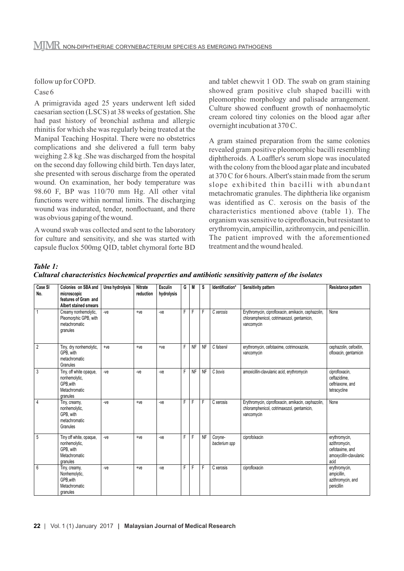follow up for COPD.

#### Case 6

A primigravida aged 25 years underwent left sided caesarian section (LSCS) at 38 weeks of gestation. She had past history of bronchial asthma and allergic rhinitis for which she was regularly being treated at the Manipal Teaching Hospital. There were no obstetrics complications and she delivered a full term baby weighing 2.8 kg .She was discharged from the hospital on the second day following child birth. Ten days later, she presented with serous discharge from the operated wound. On examination, her body temperature was 98.60 F, BP was 110/70 mm Hg. All other vital functions were within normal limits. The discharging wound was indurated, tender, nonfloctuant, and there was obvious gaping of the wound.

A wound swab was collected and sent to the laboratory for culture and sensitivity, and she was started with capsule fluclox 500mg QID, tablet chymoral forte BD and tablet chewvit 1 OD. The swab on gram staining showed gram positive club shaped bacilli with pleomorphic morphology and palisade arrangement. Culture showed confluent growth of nonhaemolytic cream colored tiny colonies on the blood agar after overnight incubation at 370 C.

A gram stained preparation from the same colonies revealed gram positive pleomorphic bacilli resembling diphtheroids. A Loaffler's serum slope was inoculated with the colony from the blood agar plate and incubated at 370 C for 6 hours. Albert's stain made from the serum slope exhibited thin bacilli with abundant metachromatic granules. The diphtheria like organism was identified as C. xerosis on the basis of the characteristics mentioned above (table 1). The organism was sensitive to ciprofloxacin, but resistant to erythromycin, ampicillin, azithromycin, and penicillin. The patient improved with the aforementioned treatment and the wound healed.

*Table 1:*

| Case SI<br>No. | Colonies on SBA and<br>microscopic<br>features of Gram and<br><b>Albert stained smears</b> | Urea hydrolysis | <b>Nitrate</b><br>reduction | <b>Esculin</b><br>hydrolysis | G | M         | s         | Identification*          | Sensitivity pattern                                                                                            | Resistance pattern                                                                  |
|----------------|--------------------------------------------------------------------------------------------|-----------------|-----------------------------|------------------------------|---|-----------|-----------|--------------------------|----------------------------------------------------------------------------------------------------------------|-------------------------------------------------------------------------------------|
| 1              | Creamy nonhemolytic,<br>Pleomorphic GPB, with<br>metachromatic<br>granules                 | $-ve$           | $+ve$                       | $-ve$                        | F | F         | F         | C xerosis                | Erythromycin, ciprofloxacin, amikacin, cephazolin,<br>chloramphenicol, cotrimaxozol, gentamicin,<br>vancomycin | None                                                                                |
| $\overline{2}$ | Tiny, dry nonhemolytic,<br>GPB. with<br>metachromatic<br>Granules                          | $+ve$           | $+ve$                       | $+ve$                        | F | <b>NF</b> | <b>NF</b> | C falsenii               | erythromycin, cefotaxime, cotrimoxazole,<br>vancomycin                                                         | cephazolin, cefoxitin,<br>ofloxacin, gentamicin                                     |
| 3              | Tiny, off white opaque,<br>nonhemolytic,<br>GPB.with<br>Metachromatic<br>granules          | $-ve$           | $-ve$                       | $-ve$                        | F | <b>NF</b> | <b>NF</b> | C bovis                  | amoxicillin-clavulanic acid, erythromycin                                                                      | ciprofloxacin,<br>ceftazidime,<br>ceftriaxone, and<br>tetracycline                  |
| 4              | Tiny, creamy,<br>nonhemolytic,<br>GPB. with<br>metachromatic<br>Granules                   | $-ve$           | $+ve$                       | $-ve$                        | F | F         | F         | C xerosis                | Erythromycin, ciprofloxacin, amikacin, cephazolin,<br>chloramphenicol, cotrimaxozol, gentamicin,<br>vancomycin | None                                                                                |
| 5              | Tiny off white, opaque,<br>nonhemolytic,<br>GPB. with<br>Metachromatic<br>granules         | $-ve$           | $+ve$                       | $-ve$                        | F | F         | <b>NF</b> | Coryne-<br>bacterium spp | ciprofolxacin                                                                                                  | erythromycin,<br>azithromycin,<br>cefotaxime, and<br>amoxycillin-clavulanic<br>acid |
| 6              | Tiny, creamy,<br>Nonhemolytic,<br>GPB.with<br>Metachromatic<br>granules                    | $-ve$           | $+ve$                       | $-ve$                        | F | F         | F         | C xerosis                | ciprofloxacin                                                                                                  | erythromycin,<br>ampicillin,<br>azithromycin, and<br>penicillin                     |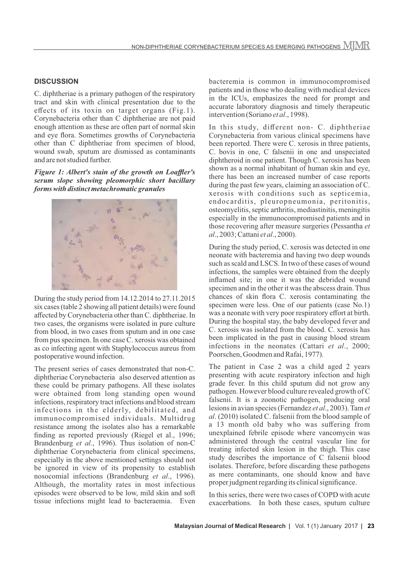## **DISCUSSION**

C. diphtheriae is a primary pathogen of the respiratory tract and skin with clinical presentation due to the effects of its toxin on target organs (Fig.1). Corynebacteria other than C diphtheriae are not paid enough attention as these are often part of normal skin and eye flora. Sometimes growths of Corynebacteria other than C diphtheriae from specimen of blood, wound swab, sputum are dismissed as contaminants and are not studied further.

*Figure 1: Albert's stain of the growth on Loaffler's serum slope showing pleomorphic short bacillary forms with distinct metachromatic granules*



During the study period from 14.12.2014 to 27.11.2015 six cases (table 2 showing all patient details) were found affected by Corynebacteria other than C. diphtheriae. In two cases, the organisms were isolated in pure culture from blood, in two cases from sputum and in one case from pus specimen. In one case C. xerosis was obtained as co infecting agent with Staphylococcus aureus from postoperative wound infection.

The present series of cases demonstrated that non-C. diphtheriae Corynebacteria also deserved attention as these could be primary pathogens. All these isolates were obtained from long standing open wound infections, respiratory tract infections and blood stream infections in the elderly, debilitated, and immunocompromised individuals. Multidrug resistance among the isolates also has a remarkable finding as reported previously (Riegel et al., 1996; Brandenburg *et al*., 1996). Thus isolation of non-C diphtheriae Corynebacteria from clinical specimens, especially in the above mentioned settings should not be ignored in view of its propensity to establish nosocomial infections (Brandenburg *et al*., 1996). Although, the mortality rates in most infectious episodes were observed to be low, mild skin and soft tissue infections might lead to bacteraemia. Even

bacteremia is common in immunocompromised patients and in those who dealing with medical devices in the ICUs, emphasizes the need for prompt and accurate laboratory diagnosis and timely therapeutic intervention (Soriano *et al*., 1998).

In this study, different non- C. diphtheriae Corynebacteria from various clinical specimens have been reported. There were C. xerosis in three patients, C. bovis in one, C falsenii in one and unspeciated diphtheroid in one patient. Though C. xerosis has been shown as a normal inhabitant of human skin and eye, there has been an increased number of case reports during the past few years, claiming an association of C. xerosis with conditions such as septicemia, endocarditis, pleuropneumonia, peritonitis, osteomyelitis, septic arthritis, mediastinitis, meningitis especially in the immunocompromised patients and in those recovering after measure surgeries (Pessantha *et al*., 2003; Cattani *et al*., 2000).

During the study period, C. xerosis was detected in one neonate with bacteremia and having two deep wounds such as scald and LSCS. In two of these cases of wound infections, the samples were obtained from the deeply inflamed site; in one it was the debrided wound specimen and in the other it was the abscess drain. Thus chances of skin flora C. xerosis contaminating the specimen were less. One of our patients (case No.1) was a neonate with very poor respiratory effort at birth. During the hospital stay, the baby developed fever and C. xerosis was isolated from the blood. C. xerosis has been implicated in the past in causing blood stream infections in the neonates (Cattari *et al*., 2000; Poorschen, Goodmen and Rafai, 1977).

The patient in Case 2 was a child aged 2 years presenting with acute respiratory infection and high grade fever. In this child sputum did not grow any pathogen. However blood culture revealed growth of C falsenii. It is a zoonotic pathogen, producing oral lesions in avian species (Fernandez *et al*., 2003). Tam *et al*. (2010) isolated C. falsenii from the blood sample of a 13 month old baby who was suffering from unexplained febrile episode where vancomycin was administered through the central vascular line for treating infected skin lesion in the thigh. This case study describes the importance of C falsenii blood isolates. Therefore, before discarding these pathogens as mere contaminants, one should know and have proper judgment regarding its clinical significance.

In this series, there were two cases of COPD with acute exacerbations. In both these cases, sputum culture